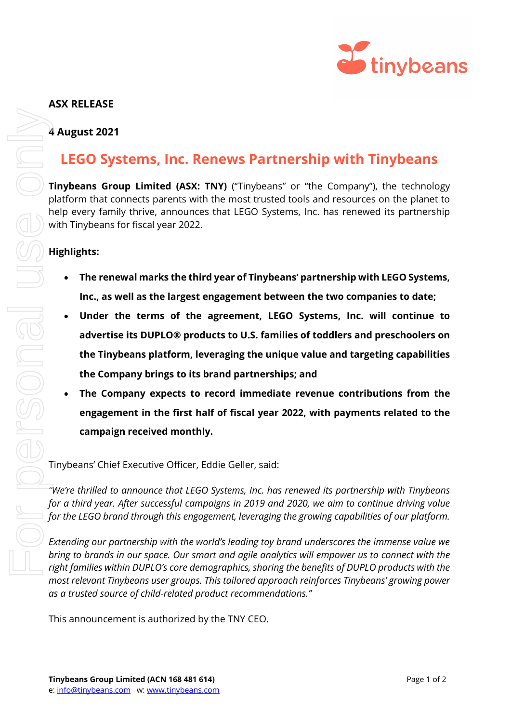

# **ASX RELEASE**

## **4 August 2021**

# **LEGO Systems, Inc. Renews Partnership with Tinybeans**

**Tinybeans Group Limited (ASX: TNY)** ("Tinybeans" or "the Company"), the technology platform that connects parents with the most trusted tools and resources on the planet to help every family thrive, announces that LEGO Systems, Inc. has renewed its partnership with Tinybeans for fiscal year 2022.

## **Highlights:**

- **The renewal marks the third year of Tinybeans' partnership with LEGO Systems, Inc., as well as the largest engagement between the two companies to date;**
- **Under the terms of the agreement, LEGO Systems, Inc. will continue to advertise its DUPLO® products to U.S. families of toddlers and preschoolers on the Tinybeans platform, leveraging the unique value and targeting capabilities the Company brings to its brand partnerships; and**
- **The Company expects to record immediate revenue contributions from the engagement in the first half of fiscal year 2022, with payments related to the campaign received monthly.**

Tinybeans' Chief Executive Officer, Eddie Geller, said:

*"We're thrilled to announce that LEGO Systems, Inc. has renewed its partnership with Tinybeans for a third year. After successful campaigns in 2019 and 2020, we aim to continue driving value for the LEGO brand through this engagement, leveraging the growing capabilities of our platform.* 

*Extending our partnership with the world's leading toy brand underscores the immense value we bring to brands in our space. Our smart and agile analytics will empower us to connect with the right families within DUPLO's core demographics, sharing the benefits of DUPLO products with the most relevant Tinybeans user groups. This tailored approach reinforces Tinybeans' growing power as a trusted source of child-related product recommendations."*